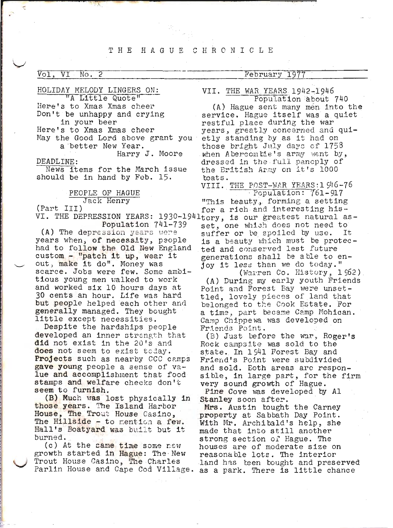#### THE HAGUE CHRONICLE

#### Vol, VI  $No. 2$

### February 1977

HOLIDAY MELODY LINGERS ON: "A Little Quote"

Here's to Xmas Xmas cheer Don't be unhappy and crying in your beer

Here's to Xmas Xmas cheer

May the Good Lord above grant you a better New Year.

Harry J. Moore DEADLINE:

News items for the March issue should be in hand by Feb. 15.

# PEOPLE OF HAGUE Jack Henry

(Part III)

Population 741-739

(A) The depression years were years when, of necessity, people had to follow the Old New England custom - "patch it up, wear it out, make it do". Money was scarce. Jobs were few. Some ambitious young men walked to work and worked six 10 hours days at 30 cents an hour. Life was hard but people helped each other and generally managed. They bought little except necessities.

Despite the hardships people developed an inner strength that did not exist in the 20's and does not seem to exist today. **Projects** such as nearby CCC camps gave young people a sense of value and accomplishment that food stamps and welfare checks don't seem to furnish.

(B) Much was lost physically in those years. The Island Harbor House, The Trout House Casino, The Hillside - to mention a few. Hall's Boatyard was built but it burned.

(c) At the same time some new growth started in Hague: The New Trout House Casino, The Charles

VII. THE WAR YEARS 1942-1946 Population about 740

(A) Hague sent many men into the service. Hague itself was a quiet restful place during the war years, greatly concerned and quietly standing by as it had on those bright July days of 1758 when Abercombie's army went by, dressed in the full pancply of the Eritish Aray on it's 1000 toats.

VIII. THE POST-WAR YEARS:1 916-76 Population: 761-917

"This beauty, forming a setting for a rich and interesting his-VI. THE DEPRESSION YEARS: 1930-1941tory, is our greatest natural asset, one which does not need to suffer or be spoiled by use. It is a beauty which must be protected and conserved lest future generations shall be able to enjoy it less than we do today."

(Warren Co. History, 1962) (A) During my early youth Friends Point and Forest Bay were unsettled, lovely pieces of land that belonged to the Cook Estate. For a time, part became Camp Mohican. Camp Chippewa was developed on Friends Point.

(B) Just before the war, Roger's Rock campsite was sold to the state. In 1941 Forest Bay and Friend's Point were subdivided and sold. Eoth areas are responsible, in large part, for the firm very sound growth of Hague.

Pine Cove was developed by Al Stanley soon after.

Mrs. Austin tought the Carney property at Sabbath Day Point. With Mr. Archibald's help, she made that into still another strong section of Hague. The houses are of moderate size on reasonable lots. The interior land has teen bought and preserved Parlin House and Cape Cod Village. as a park. There is little chance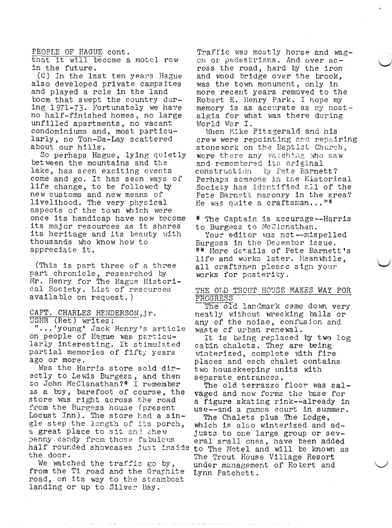PEOPLE OF HAGUE cont.

that it will become a motel row in the future.

(C) In the last ten years Hague also developed private campsites and played a role in the land boom that swept the country during 1971-73. Fortunately we have no half-finished homes, no large unfilled apartments, no vacant condominiums and, most particularly, no Ton-Da-Lay scattered about our hills.

So perhaps Hague, lying quietly between the mountains and the lake, has seen exciting events come and go. It has seen ways of life change, to be followed by new customs and new means of livelihood. The very physical aspects of the town which were once its handicap have now become its major resources as it shares its heritage and its beauty with thousands who know how to appreciate it.

(This is part three of a three part chronicle, researched by Mr. Henry for The Hague Historical Society. List of resources available on request.)

## CAPT. CHARLES HENDERSON, jr. USNR (Ret) writes:

"...'young' Jack Henry's article on people of Hague was particularly interesting. It stimulated partial memories of fifty years ago or more.

Was the Harris store sold directly to Lewis Burgess, and then<br>to John McClanathan?\* I remember as a boy, barefoot of course, the store was right across the road from the Burgess house (present Locust Inn). The store had a single step the length of its porch. a great place to sit and chew penny candy from those fabulous half rounded showcases just inside to The Motel and will be known as the door.

We watched the traffic go by, from the Ti road and the Grachite road, on its way to the steamboat landing or up to Silver Bay.

Traffic was mostly horse and wagon or pedestrians. And over across the road, hard by the iron and wood bridge over the brook, was the town monument, only in more recent years removed to the Robert E. Henry Park. I hope my memory is as accurate as my nostalgia for what was there during World War I.

When Mike Fitzgerald and his crew were repointing and repairing stone work on the Baptist Church, were there any watching who saw and remembered its original construction ty Pete Barnett? Perhaps someone in the Historical Society has identified all of the Pete Barnett masonry in the area? He was quite a craftsman..."\*

\* The Captain is accurage--Harris to Burgess to McClanathan.

Your editor was not--mispelled Burgess in the December issue. \*\* More details of Pete Barnett's life and works later. Meanwhile, all craftsmen please sign your works for posterity.

### THE OLD TROUT HOUSE MAKES WAY FOR PROGRESS

The old landmark came down very neatly without wrecking balls or any of the noise, confusion and waste of urban renewal.

It is being replaced by two log cabin chalets. They are being winterized, complete with fire places and each chalet contains two housekeeping units with separate entrances.

The old terrazzo floor was salvaged and now forms the base for a figure skating rink--already in use--and a games court in summer.

The Chalets plus The Lodge, which is also winterized and adjusts to one large group or several small cnes, have been added The Trout House Village Resort under management of Rotert and Lynn Patchett.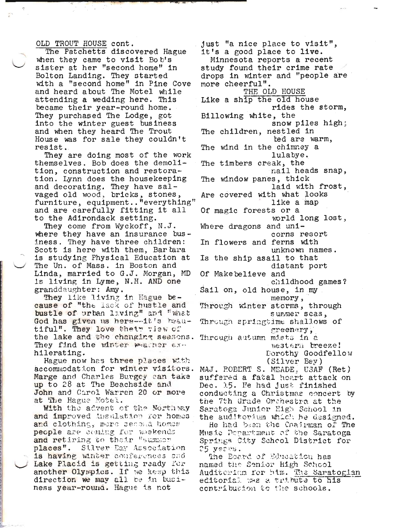#### OLD TROUT HOUSE cont.

The Patchetts discovered Hague when they came to visit Bob's sister at her "second home" in Bolton Landing. They started with a "second home" in Pine Cove and heard about The Motel while attending a wedding here. This became their year-round home. They purchased The Lodge, got into the winter guest business and when they heard The Trout House was for sale they couldn't resist.

They are doing most of the work themselves. Bob does the demolition, construction and restoration. Lynn does the housekeeping and decorating. They have salvaged old wood, bricks, stones, furniture, equipment.. "everything" and are carefully fitting it all to the Adirondack setting.

They come from Wyckoff, N.J. where they have an insurance business. They have three children: Scott is here with them, Bartara is studying Physical Education at The Un. of Mass. in Boston and Linda, married to G.J. Morgan, MD is living in Lyme, N.H. AND one granddaughter: Amy.

They like living in Hague because of "the lack of hustle and bustle of urban living" and "what God has given us here---it's heautiful". They love their view of the lake and the changing seasons. They find the winter weather axhilerating.

Hague now has three places with accommodation for winter visitors. Marge and Charles Burgey can take up to 28 at The Beachside and John and Carol Warren 20 or more at The Hague Motel.

With the advent of the Northway and improved thsulation for homes and clothing, more second homes people are coming for weekends and retiring to their "summor places". Silver Day Association is having winter conferences and Lake Placid is getting ready for another Olympics. If we keep this direction we may all be in business year-round. Hague is not

just "a nice place to visit", it's a good place to live. Minnesota reports a recent study found their crime rate drops in winter and "people are more cheerful". THE OLD HOUSE Like a ship the old house rides the storm, Billowing white, the snow piles high; The children, nestled in ted are warm, The wind in the chimney a lulabye. The timbers creak, the nail heads snap, The window panes, thick laid with frost, Are covered with what looks like a map Of magic forests or a world long lost, Where dragons and unicorns resort In flowers and ferns with unknown names. Is the ship asail to that distant port Of Makebelieve and childhood games? Sail on, old house, in my memory, Through winter storms, through summer scas, Through springtime shallows of greenery, Through autumn mists in a western breeze! Dorothy Goodfellow  $(S11ver Bey)$ MAJ. POBERT S. MEADE, USAF (Ret)

suffered a fatal heart attack on Dec. 15. He had just finished conducting a Christmas concert by the 7th Grade Orchestra at the Saratoga Junior High School in the auditorium which he designed.

He had been the Chairman of The Music Pepartment of the Saratoga Springs City Scheol District for 25 years.

The Board of Education has named the Senior High School Auditerium for him. The Saratogian editorial was a tribute to his contribution to the schools.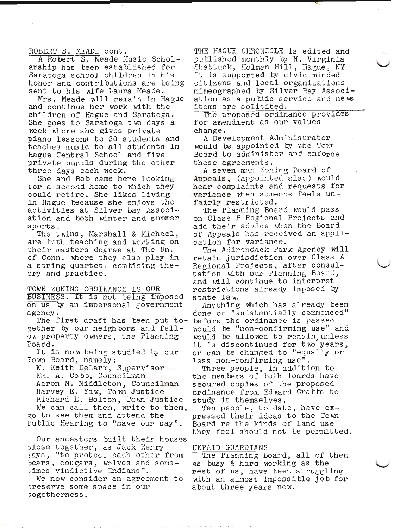ROBERT S. MEADE cont.

A Robert S. Meade Music Scholarship has been established for Saratoga school children in his honor and contributions are being sent to his wife Laura Meade.

Mrs. Meade will remain in Hague and continue her work with the children of Hague and Saratoga. She goes to Saratoga two days a week where she gives private piano lessons to 20 students and teaches music to all students in Hague Central School and five private pupils during the other three days each week.

She and Bob came here looking for a second home to which they could retire. She likes living in Hague because she enjoys the activities at Silver Bay Association and both winter and summer sports.

The twins, Marshall & Michael, are both teaching and working on their masters degree at The Un. of Conn. where they also play in a string quartet, combining theory and practice.

TOWN ZONING ORDINANCE IS OUR BUSINESS. It is not being imposed on us by an impersonal government agency.

The first draft has been put together by our neighbors and fellow property owners, the Planning Board.

It is now being studied by our Town Board, namely:

W. Keith DeLarm, Supervisor Wm. A. Cobb, Councilman Aaron M. Middleton, Councilman Harvey E. Yaw, Town Justice Richard E. Bolton, Town Justice We can call them, write to them, go to see them and attend the Public Hearing to "have our say".

Our ancestors built their houses close together, as Jack Henry says, "to protect each other from bears, cougars, wolves and sometimes vindictive Indians".

We now consider an agreement to preserve some space in our togetherness.

THE HAGUE CHRONICLE is edited and published monthly by H. Virginia Shattuck, Holman Hill, Hague, NY It is supported by civic minded citizens and local organizations mimeographed by Silver Bay Association as a public service and news items are solicited.

The proposed ordinance provides for amendment as our values change.

A Development Administrator would be appointed by the Town Board to administer and enforce these agreements.

A seven man Zoning Board of Appeals, (appointed also) would hear complaints and requests for variance when someone feels unfairly restricted.

The Planning Board would pass on Class B Regional Projects and add their advice when the Board of Appeals has received an application for variance.

The Adirondack Park Agency will retain jurisdiction over Class A Regional Projects, after consultation with our Planning Board, and will continue to interpret restrictions already imposed by state law.

Anything which has already been done or "substantially commenced" before the ordinance is passed would be "non-confirming use" and would be allowed to remain unless it is discontinued for two years, or can be changed to "equally or less non-confirming use".

Three people, in addition to<br>the members of both boards have secured copies of the proposed ordinance from Edward Crabbs to study it themselves.

Ten people, to date, have expressed their ideas to the Town Board re the kinds of land use they feel should not be permitted.

#### UNPAID GUARDIANS

The Planning Board, all of them as busy & hard working as the rest of us, have been struggling with an almost impossible job for about three years now.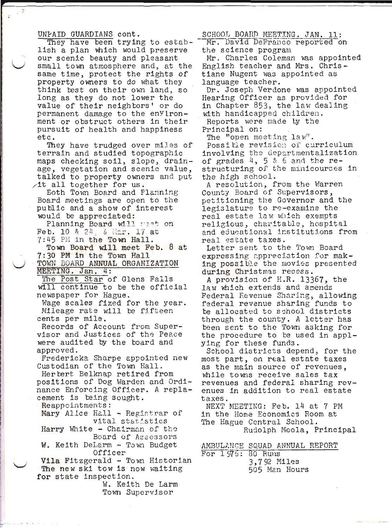#### UNPAID GUARDIANS cont.

They have been trying to establish a plan which would preserve our scenic beauty and pleasant small town atmosphere and, at the same time, protect the rights of property owners to do what they think best on their own land, so long as they do not lower the value of their neighbors' or do permanent damage to the enyironment or obstruct others in their pursuit of health and happiness etc.

They have trudged over miles of terrain and studied topographic maps checking soil, slope, drainage, vegetation and scenic value, talked to property owners and put  $\tt 1t$  all together for us.

Eoth Town Board and Planning Board meetings are open to the public and a show of interest would be appreciated:

Planning Board will meet on Feb. 10 & 24, & Mar. 17 at 7:45 PM in the Town Hall.

Town Board will meet Feb. 8 at 7:30 PM in the Town Hall TOWN BOARD ANNUAL ORGANIZATION

MEETING. Jan. 4:

The Post Star of Glens Falls will continue to be the official newspaper for Hague.

Wage scales fixed for the year. Mileage rate will be fifteen cents per mile.

Records of Account from Supervisor and Justices of the Peace were audited by the board and approved.

Fredericka Sharpe appointed new Custodian of the Town Hall.

Herbert Belknap retired from positions of Dog Warden and Ordinance Enforcing Officer. A replacement is being sought.

Reappointments:

Mary Alice Hall - Registrar of vital statistics

Harry White - Chairman of the Board of Assessors

W. Keith DeLarm - Town Budget Officer

Vila Fitzgerald - Town Historian The new ski tow is now waiting for state inspection.

W. Keith De Larm Town Supervisor

SCHOOL BOARD MEETING. JAN. 11: Mr. David DeFranco reported on the science program

Mr. Charles Coleman was appointed English teacher and Mrs. Christiane Nugent was appointed as language teacher.

Dr. Joseph Verdone was appointed Hearing Officer as provided for in Chapter 853, the law dealing with handicapped children.

Reports were made ty the Principal on:

The "open meeting law".

Possible revision of curriculum involving the departmentalization of grades 4, 5 & 6 and the restructuring of the minicourses in the high school.

A resolution, from the Warren County Board of Supervisors, petitioning the Governor and the legislature to re-examine the real estate law which exempts religious, charitable, hospital and educational institutions from real estate taxes.

Letter sent to the Town Board expressing appreciation for making possible the movies presented during Christmas recess.

A provision of H.R. 13367, the law which extends and amends Federal Revenue Sharing, allowing federal revenue sharing funds to be allocated to school districts through the county. A letter has been sent to the Town asking for the procedure to be used in applying for these funds.

School districts depend, for the most part, on real estate taxes as the main source of revenues, while towns receive sales tax revenues and federal sharing revenues in addition to real estate taxes.

NEXT MEETING: Feb. 14 at 7 PM in the Home Economics Room at The Hague Central School. Rudolph Meola, Principal

AMBULANCE SQUAD ANNUAL REPORT For 1975: 80 Runs 3,792 Miles 505 Man Hours